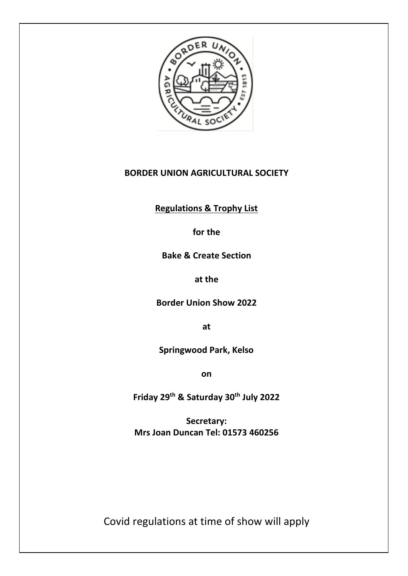

# **BORDER UNION AGRICULTURAL SOCIETY**

**Regulations & Trophy List**

**for the**

**Bake & Create Section**

**at the**

**Border Union Show 2022**

**at**

**Springwood Park, Kelso**

**on**

**Friday 29th & Saturday 30th July 2022**

**Secretary: Mrs Joan Duncan Tel: 01573 460256**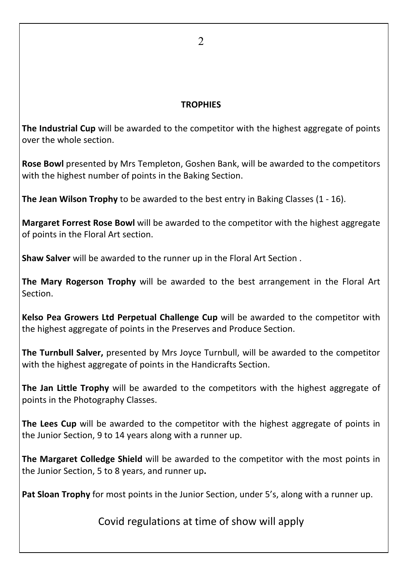### **TROPHIES**

**The Industrial Cup** will be awarded to the competitor with the highest aggregate of points over the whole section.

**Rose Bowl** presented by Mrs Templeton, Goshen Bank, will be awarded to the competitors with the highest number of points in the Baking Section.

**The Jean Wilson Trophy** to be awarded to the best entry in Baking Classes (1 - 16).

**Margaret Forrest Rose Bowl** will be awarded to the competitor with the highest aggregate of points in the Floral Art section.

**Shaw Salver** will be awarded to the runner up in the Floral Art Section .

**The Mary Rogerson Trophy** will be awarded to the best arrangement in the Floral Art Section.

**Kelso Pea Growers Ltd Perpetual Challenge Cup** will be awarded to the competitor with the highest aggregate of points in the Preserves and Produce Section.

**The Turnbull Salver,** presented by Mrs Joyce Turnbull, will be awarded to the competitor with the highest aggregate of points in the Handicrafts Section.

**The Jan Little Trophy** will be awarded to the competitors with the highest aggregate of points in the Photography Classes.

**The Lees Cup** will be awarded to the competitor with the highest aggregate of points in the Junior Section, 9 to 14 years along with a runner up.

**The Margaret Colledge Shield** will be awarded to the competitor with the most points in the Junior Section, 5 to 8 years, and runner up**.**

**Pat Sloan Trophy** for most points in the Junior Section, under 5's, along with a runner up.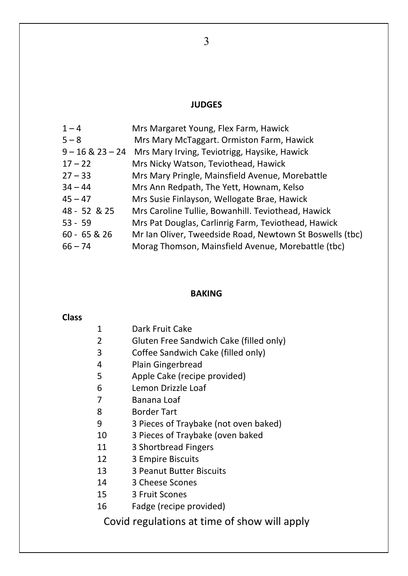# **JUDGES**

| $1 - 4$        | Mrs Margaret Young, Flex Farm, Hawick                         |
|----------------|---------------------------------------------------------------|
| $5 - 8$        | Mrs Mary McTaggart. Ormiston Farm, Hawick                     |
|                | 9 – 16 & 23 – 24 Mrs Mary Irving, Teviotrigg, Haysike, Hawick |
| $17 - 22$      | Mrs Nicky Watson, Teviothead, Hawick                          |
| $27 - 33$      | Mrs Mary Pringle, Mainsfield Avenue, Morebattle               |
| $34 - 44$      | Mrs Ann Redpath, The Yett, Hownam, Kelso                      |
| $45 - 47$      | Mrs Susie Finlayson, Wellogate Brae, Hawick                   |
| 48 - 52 & 25   | Mrs Caroline Tullie, Bowanhill. Teviothead, Hawick            |
| $53 - 59$      | Mrs Pat Douglas, Carlinrig Farm, Teviothead, Hawick           |
| $60 - 65 & 26$ | Mr Ian Oliver, Tweedside Road, Newtown St Boswells (tbc)      |
| $66 - 74$      | Morag Thomson, Mainsfield Avenue, Morebattle (tbc)            |

# **BAKING**

### **Class**

| 1      | Dark Fruit Cake                         |
|--------|-----------------------------------------|
| 2      | Gluten Free Sandwich Cake (filled only) |
| 3      | Coffee Sandwich Cake (filled only)      |
| 4      | Plain Gingerbread                       |
| 5      | Apple Cake (recipe provided)            |
| 6      | Lemon Drizzle Loaf                      |
| 7      | Banana Loaf                             |
| 8      | Border Tart                             |
| 9      | 3 Pieces of Traybake (not oven baked)   |
| 10     | 3 Pieces of Traybake (oven baked        |
| 11     | 3 Shortbread Fingers                    |
| 12     | 3 Empire Biscuits                       |
| 13     | 3 Peanut Butter Biscuits                |
| 14     | 3 Cheese Scones                         |
| 15     | 3 Fruit Scones                          |
| 16     | Fadge (recipe provided)                 |
| $\sim$ |                                         |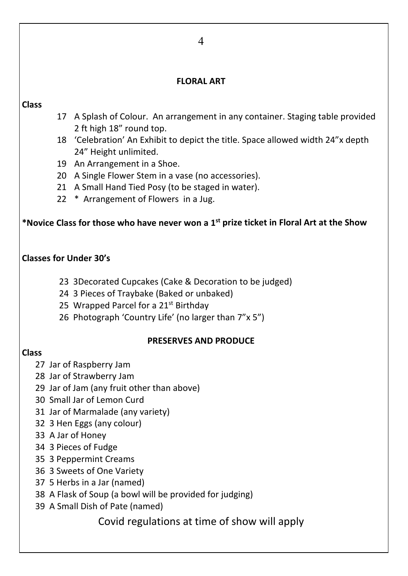### **FLORAL ART**

### **Class**

- 17 A Splash of Colour. An arrangement in any container. Staging table provided 2 ft high 18" round top.
- 18 'Celebration' An Exhibit to depict the title. Space allowed width 24"x depth 24" Height unlimited.
- 19 An Arrangement in a Shoe.
- 20 A Single Flower Stem in a vase (no accessories).
- 21 A Small Hand Tied Posy (to be staged in water).
- 22 \* Arrangement of Flowers in a Jug.

## **\*Novice Class for those who have never won a 1st prize ticket in Floral Art at the Show**

## **Classes for Under 30's**

- 23 3Decorated Cupcakes (Cake & Decoration to be judged)
- 24 3 Pieces of Traybake (Baked or unbaked)
- 25 Wrapped Parcel for a 21<sup>st</sup> Birthday
- 26 Photograph 'Country Life' (no larger than 7"x 5")

#### **PRESERVES AND PRODUCE**

### **Class**

- 27 Jar of Raspberry Jam
- 28 Jar of Strawberry Jam
- 29 Jar of Jam (any fruit other than above)
- 30 Small Jar of Lemon Curd
- 31 Jar of Marmalade (any variety)
- 32 3 Hen Eggs (any colour)
- 33 A Jar of Honey
- 34 3 Pieces of Fudge
- 35 3 Peppermint Creams
- 36 3 Sweets of One Variety
- 37 5 Herbs in a Jar (named)
- 38 A Flask of Soup (a bowl will be provided for judging)
- 39 A Small Dish of Pate (named)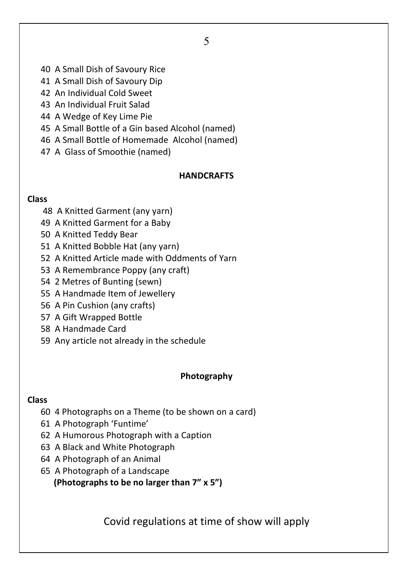- 40 A Small Dish of Savoury Rice
- 41 A Small Dish of Savoury Dip
- 42 An Individual Cold Sweet
- 43 An Individual Fruit Salad
- 44 A Wedge of Key Lime Pie
- 45 A Small Bottle of a Gin based Alcohol (named)
- 46 A Small Bottle of Homemade Alcohol (named)
- 47 A Glass of Smoothie (named)

# **HANDCRAFTS**

## **Class**

- 48 A Knitted Garment (any yarn)
- 49 A Knitted Garment for a Baby
- 50 A Knitted Teddy Bear
- 51 A Knitted Bobble Hat (any yarn)
- 52 A Knitted Article made with Oddments of Yarn
- 53 A Remembrance Poppy (any craft)
- 54 2 Metres of Bunting (sewn)
- 55 A Handmade Item of Jewellery
- 56 A Pin Cushion (any crafts)
- 57 A Gift Wrapped Bottle
- 58 A Handmade Card
- 59 Any article not already in the schedule

# **Photography**

# **Class**

- 60 4 Photographs on a Theme (to be shown on a card)
- 61 A Photograph 'Funtime'
- 62 A Humorous Photograph with a Caption
- 63 A Black and White Photograph
- 64 A Photograph of an Animal
- 65 A Photograph of a Landscape

**(Photographs to be no larger than 7" x 5")**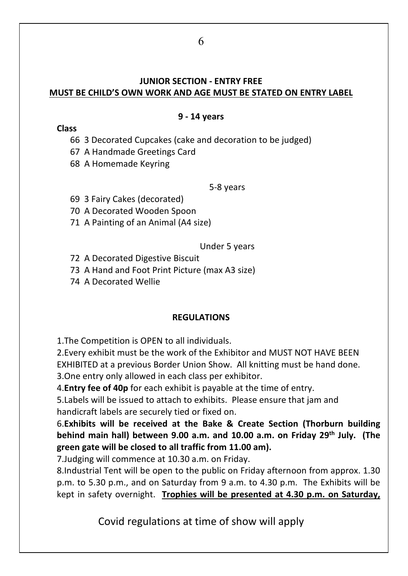## **JUNIOR SECTION - ENTRY FREE MUST BE CHILD'S OWN WORK AND AGE MUST BE STATED ON ENTRY LABEL**

### **9 - 14 years**

**Class**

66 3 Decorated Cupcakes (cake and decoration to be judged)

67 A Handmade Greetings Card

68 A Homemade Keyring

5-8 years

69 3 Fairy Cakes (decorated)

70 A Decorated Wooden Spoon

71 A Painting of an Animal (A4 size)

Under 5 years

72 A Decorated Digestive Biscuit

73 A Hand and Foot Print Picture (max A3 size)

74 A Decorated Wellie

# **REGULATIONS**

1.The Competition is OPEN to all individuals.

2.Every exhibit must be the work of the Exhibitor and MUST NOT HAVE BEEN EXHIBITED at a previous Border Union Show. All knitting must be hand done.

3.One entry only allowed in each class per exhibitor.

4.**Entry fee of 40p** for each exhibit is payable at the time of entry.

5.Labels will be issued to attach to exhibits. Please ensure that jam and handicraft labels are securely tied or fixed on.

6.**Exhibits will be received at the Bake & Create Section (Thorburn building behind main hall) between 9.00 a.m. and 10.00 a.m. on Friday 29th July. (The green gate will be closed to all traffic from 11.00 am).**

7.Judging will commence at 10.30 a.m. on Friday.

8.Industrial Tent will be open to the public on Friday afternoon from approx. 1.30 p.m. to 5.30 p.m., and on Saturday from 9 a.m. to 4.30 p.m. The Exhibits will be kept in safety overnight. **Trophies will be presented at 4.30 p.m. on Saturday,**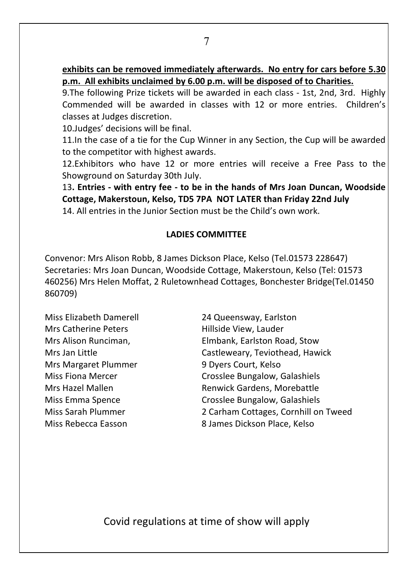9.The following Prize tickets will be awarded in each class - 1st, 2nd, 3rd. Highly Commended will be awarded in classes with 12 or more entries. Children's classes at Judges discretion.

10.Judges' decisions will be final.

11.In the case of a tie for the Cup Winner in any Section, the Cup will be awarded to the competitor with highest awards.

12.Exhibitors who have 12 or more entries will receive a Free Pass to the Showground on Saturday 30th July.

13**. Entries - with entry fee - to be in the hands of Mrs Joan Duncan, Woodside Cottage, Makerstoun, Kelso, TD5 7PA NOT LATER than Friday 22nd July** 14. All entries in the Junior Section must be the Child's own work.

# **LADIES COMMITTEE**

Convenor: Mrs Alison Robb, 8 James Dickson Place, Kelso (Tel.01573 228647) Secretaries: Mrs Joan Duncan, Woodside Cottage, Makerstoun, Kelso (Tel: 01573 460256) Mrs Helen Moffat, 2 Ruletownhead Cottages, Bonchester Bridge(Tel.01450 860709)

Miss Elizabeth Damerell 24 Queensway, Earlston Mrs Catherine Peters **Hillside View, Lauder** Mrs Margaret Plummer 9 Dyers Court, Kelso

Mrs Alison Runciman, Elmbank, Earlston Road, Stow Mrs Jan Little Castleweary, Teviothead, Hawick Miss Fiona Mercer **Crosslee Bungalow, Galashiels** Mrs Hazel Mallen **Netwick Gardens, Morebattle** Miss Emma Spence Crosslee Bungalow, Galashiels Miss Sarah Plummer 2 Carham Cottages, Cornhill on Tweed Miss Rebecca Easson 8 James Dickson Place, Kelso